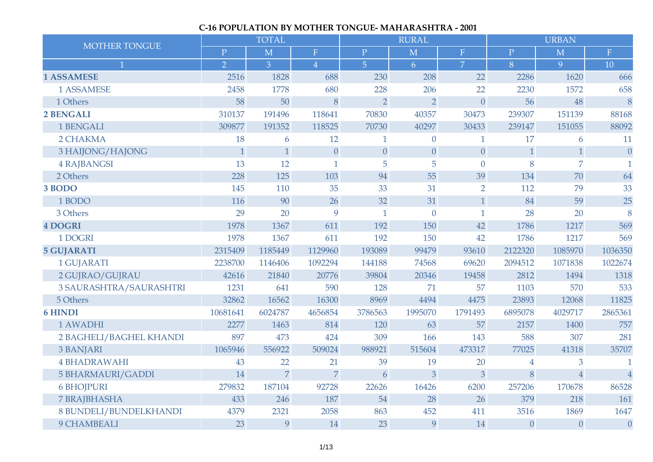## **C-16 POPULATION BY MOTHER TONGUE- MAHARASHTRA - 2001**

| <b>MOTHER TONGUE</b>     |                | <b>TOTAL</b>   |                  |                  | <b>RURAL</b>            |                |                | <b>URBAN</b>            |                |
|--------------------------|----------------|----------------|------------------|------------------|-------------------------|----------------|----------------|-------------------------|----------------|
|                          | $\mathbf{P}$   | $\overline{M}$ | $\mathbf F$      | $\mathbf{P}$     | $\overline{\mathbf{M}}$ | F              | $\mathbf{P}$   | $\overline{\mathbf{M}}$ | $\mathbf F$    |
| $\mathbf{1}$             | $\overline{2}$ | $\overline{3}$ | $\overline{4}$   | $\overline{5}$   | 6 <sup>1</sup>          | $\overline{7}$ | 8              | 9                       | 10             |
| <b>1 ASSAMESE</b>        | 2516           | 1828           | 688              | 230              | 208                     | 22             | 2286           | 1620                    | 666            |
| 1 ASSAMESE               | 2458           | 1778           | 680              | 228              | 206                     | 22             | 2230           | 1572                    | 658            |
| 1 Others                 | 58             | 50             | 8                | $\overline{2}$   | $\overline{2}$          | $\overline{0}$ | 56             | 48                      | 8              |
| <b>2 BENGALI</b>         | 310137         | 191496         | 118641           | 70830            | 40357                   | 30473          | 239307         | 151139                  | 88168          |
| 1 BENGALI                | 309877         | 191352         | 118525           | 70730            | 40297                   | 30433          | 239147         | 151055                  | 88092          |
| 2 CHAKMA                 | 18             | 6              | 12               | $\mathbf{1}$     | $\theta$                | $\mathbf{1}$   | 17             | 6                       | 11             |
| 3 HAIJONG/HAJONG         | $\mathbf{1}$   | $\mathbf{1}$   | $\boldsymbol{0}$ | $\boldsymbol{0}$ | $\theta$                | $\theta$       | $\mathbf{1}$   | $\mathbf{1}$            | $\theta$       |
| <b>4 RAJBANGSI</b>       | 13             | 12             | $\mathbf{1}$     | 5                | 5                       | $\overline{0}$ | 8              | $\overline{7}$          | 1              |
| 2 Others                 | 228            | 125            | 103              | 94               | 55                      | 39             | 134            | 70                      | 64             |
| 3 BODO                   | 145            | 110            | 35               | 33               | 31                      | $\overline{2}$ | 112            | 79                      | 33             |
| 1 BODO                   | 116            | 90             | 26               | 32               | 31                      | $\mathbf{1}$   | 84             | 59                      | 25             |
| 3 Others                 | 29             | 20             | 9                | $\mathbf{1}$     | $\overline{0}$          | $\mathbf{1}$   | 28             | 20                      | 8              |
| <b>4 DOGRI</b>           | 1978           | 1367           | 611              | 192              | 150                     | 42             | 1786           | 1217                    | 569            |
| 1 DOGRI                  | 1978           | 1367           | 611              | 192              | 150                     | 42             | 1786           | 1217                    | 569            |
| <b>5 GUJARATI</b>        | 2315409        | 1185449        | 1129960          | 193089           | 99479                   | 93610          | 2122320        | 1085970                 | 1036350        |
| 1 GUJARATI               | 2238700        | 1146406        | 1092294          | 144188           | 74568                   | 69620          | 2094512        | 1071838                 | 1022674        |
| 2 GUJRAO/GUJRAU          | 42616          | 21840          | 20776            | 39804            | 20346                   | 19458          | 2812           | 1494                    | 1318           |
| 3 SAURASHTRA/SAURASHTRI  | 1231           | 641            | 590              | 128              | 71                      | 57             | 1103           | 570                     | 533            |
| 5 Others                 | 32862          | 16562          | 16300            | 8969             | 4494                    | 4475           | 23893          | 12068                   | 11825          |
| <b>6 HINDI</b>           | 10681641       | 6024787        | 4656854          | 3786563          | 1995070                 | 1791493        | 6895078        | 4029717                 | 2865361        |
| 1 AWADHI                 | 2277           | 1463           | 814              | 120              | 63                      | 57             | 2157           | 1400                    | 757            |
| 2 BAGHELI/BAGHEL KHANDI  | 897            | 473            | 424              | 309              | 166                     | 143            | 588            | 307                     | 281            |
| <b>3 BANJARI</b>         | 1065946        | 556922         | 509024           | 988921           | 515604                  | 473317         | 77025          | 41318                   | 35707          |
| <b>4 BHADRAWAHI</b>      | 43             | 22             | 21               | 39               | 19                      | 20             | $\overline{4}$ | 3                       |                |
| <b>5 BHARMAURI/GADDI</b> | 14             | $\overline{7}$ | $\overline{7}$   | 6                | $\overline{3}$          | $\overline{3}$ | 8              | $\overline{4}$          | $\overline{4}$ |
| <b>6 BHOJPURI</b>        | 279832         | 187104         | 92728            | 22626            | 16426                   | 6200           | 257206         | 170678                  | 86528          |
| <b>7 BRAJBHASHA</b>      | 433            | 246            | 187              | 54               | 28                      | 26             | 379            | 218                     | 161            |
| 8 BUNDELI/BUNDELKHANDI   | 4379           | 2321           | 2058             | 863              | 452                     | 411            | 3516           | 1869                    | 1647           |
| 9 CHAMBEALI              | 23             | 9              | 14               | 23               | 9                       | 14             | $\theta$       | $\overline{0}$          | $\overline{0}$ |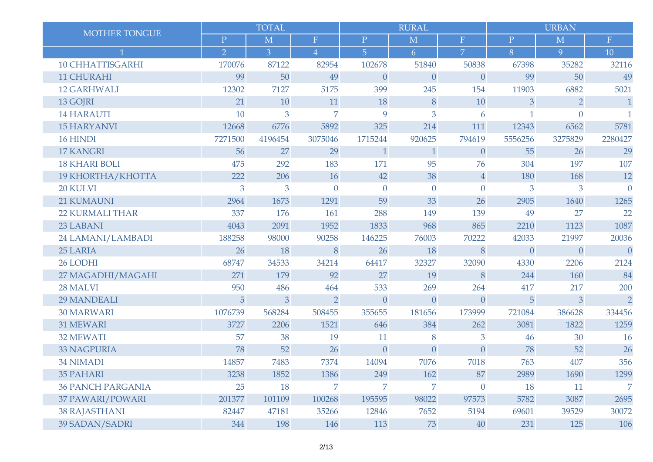|                          |                | <b>TOTAL</b> |                |                | <b>RURAL</b>   |                |                | <b>URBAN</b>   |                |
|--------------------------|----------------|--------------|----------------|----------------|----------------|----------------|----------------|----------------|----------------|
| MOTHER TONGUE            | $\mathbf P$    | M            | $\mathbf F$    | $\mathbf P$    | M              | F              | $\mathbf P$    | $\mathbf M$    | $\mathbf F$    |
|                          | $\overline{2}$ | 3            | $\overline{4}$ | $\overline{5}$ | 6              | $\overline{7}$ | 8              | 9              | 10             |
| <b>10 CHHATTISGARHI</b>  | 170076         | 87122        | 82954          | 102678         | 51840          | 50838          | 67398          | 35282          | 32116          |
| 11 CHURAHI               | 99             | 50           | 49             | $\overline{0}$ | $\overline{0}$ | $\theta$       | 99             | 50             | 49             |
| <b>12 GARHWALI</b>       | 12302          | 7127         | 5175           | 399            | 245            | 154            | 11903          | 6882           | 5021           |
| 13 GOJRI                 | 21             | 10           | 11             | 18             | 8              | 10             | 3              | $\overline{2}$ | $\overline{1}$ |
| <b>14 HARAUTI</b>        | 10             | 3            | $\overline{7}$ | 9              | 3              | 6              |                | $\Omega$       | 1              |
| <b>15 HARYANVI</b>       | 12668          | 6776         | 5892           | 325            | 214            | 111            | 12343          | 6562           | 5781           |
| 16 HINDI                 | 7271500        | 4196454      | 3075046        | 1715244        | 920625         | 794619         | 5556256        | 3275829        | 2280427        |
| <b>17 KANGRI</b>         | 56             | 27           | 29             | $\mathbf{1}$   | $\mathbf{1}$   | $\theta$       | 55             | 26             | 29             |
| <b>18 KHARI BOLI</b>     | 475            | 292          | 183            | 171            | 95             | 76             | 304            | 197            | 107            |
| 19 KHORTHA/KHOTTA        | 222            | 206          | 16             | 42             | 38             | $\overline{4}$ | 180            | 168            | 12             |
| 20 KULVI                 | 3              | 3            | $\overline{0}$ | $\mathbf{0}$   | $\overline{0}$ | $\theta$       | 3              | 3              | $\overline{0}$ |
| 21 KUMAUNI               | 2964           | 1673         | 1291           | 59             | 33             | 26             | 2905           | 1640           | 1265           |
| <b>22 KURMALI THAR</b>   | 337            | 176          | 161            | 288            | 149            | 139            | 49             | 27             | 22             |
| 23 LABANI                | 4043           | 2091         | 1952           | 1833           | 968            | 865            | 2210           | 1123           | 1087           |
| 24 LAMANI/LAMBADI        | 188258         | 98000        | 90258          | 146225         | 76003          | 70222          | 42033          | 21997          | 20036          |
| 25 LARIA                 | 26             | 18           | 8              | 26             | 18             | 8              | $\overline{0}$ | $\overline{0}$ | $\theta$       |
| 26 LODHI                 | 68747          | 34533        | 34214          | 64417          | 32327          | 32090          | 4330           | 2206           | 2124           |
| 27 MAGADHI/MAGAHI        | 271            | 179          | 92             | 27             | 19             | 8              | 244            | 160            | 84             |
| 28 MALVI                 | 950            | 486          | 464            | 533            | 269            | 264            | 417            | 217            | 200            |
| <b>29 MANDEALI</b>       | 5              | 3            | $\overline{2}$ | $\theta$       | $\overline{0}$ | $\theta$       | 5              | 3              | $\overline{2}$ |
| <b>30 MARWARI</b>        | 1076739        | 568284       | 508455         | 355655         | 181656         | 173999         | 721084         | 386628         | 334456         |
| 31 MEWARI                | 3727           | 2206         | 1521           | 646            | 384            | 262            | 3081           | 1822           | 1259           |
| 32 MEWATI                | 57             | 38           | 19             | 11             | 8              | 3              | 46             | 30             | 16             |
| <b>33 NAGPURIA</b>       | 78             | 52           | 26             | $\overline{0}$ | $\overline{0}$ | $\theta$       | 78             | 52             | 26             |
| <b>34 NIMADI</b>         | 14857          | 7483         | 7374           | 14094          | 7076           | 7018           | 763            | 407            | 356            |
| <b>35 PAHARI</b>         | 3238           | 1852         | 1386           | 249            | 162            | 87             | 2989           | 1690           | 1299           |
| <b>36 PANCH PARGANIA</b> | 25             | 18           | $\overline{7}$ | 7              | 7              | $\theta$       | 18             | 11             | $\overline{7}$ |
| 37 PAWARI/POWARI         | 201377         | 101109       | 100268         | 195595         | 98022          | 97573          | 5782           | 3087           | 2695           |
| <b>38 RAJASTHANI</b>     | 82447          | 47181        | 35266          | 12846          | 7652           | 5194           | 69601          | 39529          | 30072          |
| 39 SADAN/SADRI           | 344            | 198          | 146            | 113            | 73             | 40             | 231            | 125            | 106            |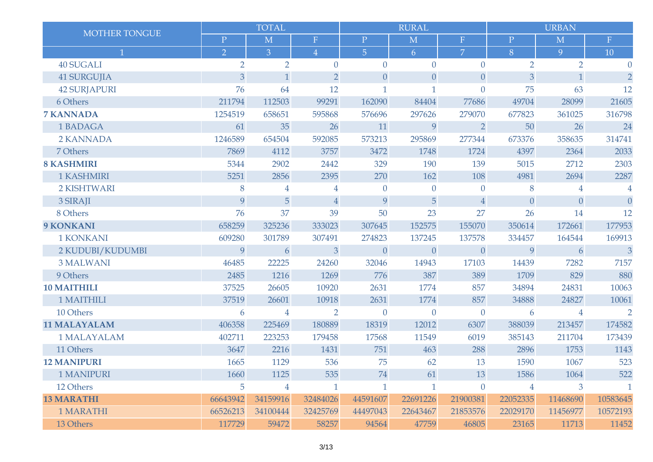|                     |                | <b>TOTAL</b>   |                |                | <b>RURAL</b>   |                |                | <b>URBAN</b>   |                |
|---------------------|----------------|----------------|----------------|----------------|----------------|----------------|----------------|----------------|----------------|
| MOTHER TONGUE       | $\mathbf{P}$   | M              | $\mathbf F$    | $\mathbf P$    | M              | $\mathbf{F}$   | $\, {\bf P}$   | M              | $\mathbf F$    |
| $\mathbf{1}$        | $\overline{2}$ | $\overline{3}$ | $\overline{4}$ | $\overline{5}$ | 6              | $\overline{7}$ | 8              | 9              | 10             |
| <b>40 SUGALI</b>    | $\overline{2}$ | $\overline{2}$ | $\overline{0}$ | $\overline{0}$ | $\overline{0}$ | $\overline{0}$ | $\overline{2}$ | $\overline{2}$ | $\Omega$       |
| <b>41 SURGUJIA</b>  | 3              | $\mathbf{1}$   | $\overline{2}$ | $\theta$       | $\theta$       | $\theta$       | 3              | $\mathbf{1}$   | $\overline{2}$ |
| <b>42 SURJAPURI</b> | 76             | 64             | 12             | $\mathbf{1}$   | $\mathbf{1}$   | $\overline{0}$ | 75             | 63             | 12             |
| 6 Others            | 211794         | 112503         | 99291          | 162090         | 84404          | 77686          | 49704          | 28099          | 21605          |
| <b>7 KANNADA</b>    | 1254519        | 658651         | 595868         | 576696         | 297626         | 279070         | 677823         | 361025         | 316798         |
| 1 BADAGA            | 61             | 35             | 26             | 11             | 9              | $\overline{2}$ | 50             | 26             | 24             |
| 2 KANNADA           | 1246589        | 654504         | 592085         | 573213         | 295869         | 277344         | 673376         | 358635         | 314741         |
| 7 Others            | 7869           | 4112           | 3757           | 3472           | 1748           | 1724           | 4397           | 2364           | 2033           |
| <b>8 KASHMIRI</b>   | 5344           | 2902           | 2442           | 329            | 190            | 139            | 5015           | 2712           | 2303           |
| 1 KASHMIRI          | 5251           | 2856           | 2395           | 270            | 162            | 108            | 4981           | 2694           | 2287           |
| 2 KISHTWARI         | 8              | 4              | $\overline{4}$ | $\overline{0}$ | $\overline{0}$ | $\overline{0}$ | 8              | $\overline{4}$ | $\overline{4}$ |
| 3 SIRAJI            | 9              | $\overline{5}$ | $\sqrt{4}$     | 9              | 5              | $\overline{4}$ | $\overline{0}$ | $\overline{0}$ | $\theta$       |
| 8 Others            | 76             | 37             | 39             | 50             | 23             | 27             | 26             | 14             | 12             |
| 9 KONKANI           | 658259         | 325236         | 333023         | 307645         | 152575         | 155070         | 350614         | 172661         | 177953         |
| 1 KONKANI           | 609280         | 301789         | 307491         | 274823         | 137245         | 137578         | 334457         | 164544         | 169913         |
| 2 KUDUBI/KUDUMBI    | 9              | 6              | 3              | $\overline{0}$ | $\overline{0}$ | $\overline{0}$ | 9              | 6              | $\overline{3}$ |
| <b>3 MALWANI</b>    | 46485          | 22225          | 24260          | 32046          | 14943          | 17103          | 14439          | 7282           | 7157           |
| 9 Others            | 2485           | 1216           | 1269           | 776            | 387            | 389            | 1709           | 829            | 880            |
| <b>10 MAITHILI</b>  | 37525          | 26605          | 10920          | 2631           | 1774           | 857            | 34894          | 24831          | 10063          |
| 1 MAITHILI          | 37519          | 26601          | 10918          | 2631           | 1774           | 857            | 34888          | 24827          | 10061          |
| 10 Others           | 6              | $\overline{4}$ | $\overline{2}$ | $\overline{0}$ | $\theta$       | $\overline{0}$ | 6              | 4              | $\overline{2}$ |
| <b>11 MALAYALAM</b> | 406358         | 225469         | 180889         | 18319          | 12012          | 6307           | 388039         | 213457         | 174582         |
| 1 MALAYALAM         | 402711         | 223253         | 179458         | 17568          | 11549          | 6019           | 385143         | 211704         | 173439         |
| 11 Others           | 3647           | 2216           | 1431           | 751            | 463            | 288            | 2896           | 1753           | 1143           |
| <b>12 MANIPURI</b>  | 1665           | 1129           | 536            | 75             | 62             | 13             | 1590           | 1067           | 523            |
| <b>1 MANIPURI</b>   | 1660           | 1125           | 535            | 74             | 61             | 13             | 1586           | 1064           | 522            |
| 12 Others           | 5              | $\overline{4}$ | $\mathbf{1}$   | $\mathbf{1}$   | $\mathbf{1}$   | $\theta$       | $\overline{4}$ | 3              | $\mathbf{1}$   |
| <b>13 MARATHI</b>   | 66643942       | 34159916       | 32484026       | 44591607       | 22691226       | 21900381       | 22052335       | 11468690       | 10583645       |
| 1 MARATHI           | 66526213       | 34100444       | 32425769       | 44497043       | 22643467       | 21853576       | 22029170       | 11456977       | 10572193       |
| 13 Others           | 117729         | 59472          | 58257          | 94564          | 47759          | 46805          | 23165          | 11713          | 11452          |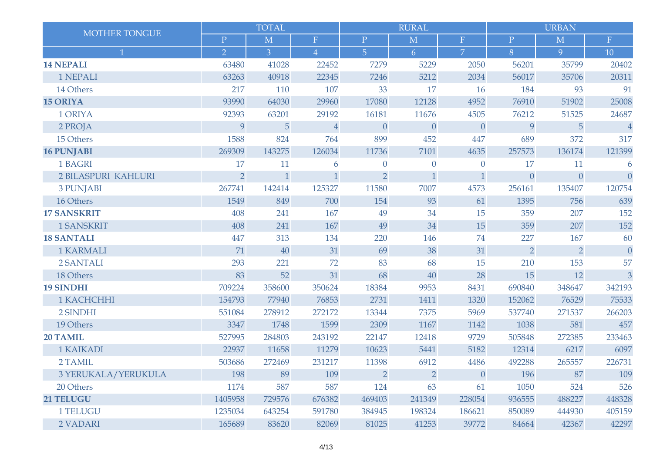| <b>MOTHER TONGUE</b> |                | <b>TOTAL</b>   |                |                | <b>RURAL</b>   |                |                | <b>URBAN</b>   |                |
|----------------------|----------------|----------------|----------------|----------------|----------------|----------------|----------------|----------------|----------------|
|                      | $\mathbf{P}$   | M              | $\mathbf F$    | $\mathbf{P}$   | M              | $\mathbf F$    | $\mathbf P$    | M              | $\mathbf F$    |
| $\mathbf 1$          | $\overline{2}$ | $\overline{3}$ | $\overline{4}$ | $\overline{5}$ | 6              | $\overline{7}$ | 8              | 9              | 10             |
| <b>14 NEPALI</b>     | 63480          | 41028          | 22452          | 7279           | 5229           | 2050           | 56201          | 35799          | 20402          |
| 1 NEPALI             | 63263          | 40918          | 22345          | 7246           | 5212           | 2034           | 56017          | 35706          | 20311          |
| 14 Others            | 217            | 110            | 107            | 33             | 17             | 16             | 184            | 93             | 91             |
| <b>15 ORIYA</b>      | 93990          | 64030          | 29960          | 17080          | 12128          | 4952           | 76910          | 51902          | 25008          |
| 1 ORIYA              | 92393          | 63201          | 29192          | 16181          | 11676          | 4505           | 76212          | 51525          | 24687          |
| 2 PROJA              | 9              | 5              | $\sqrt{4}$     | $\theta$       | $\theta$       | $\theta$       | 9              | 5              | $\overline{4}$ |
| 15 Others            | 1588           | 824            | 764            | 899            | 452            | 447            | 689            | 372            | 317            |
| <b>16 PUNJABI</b>    | 269309         | 143275         | 126034         | 11736          | 7101           | 4635           | 257573         | 136174         | 121399         |
| 1 BAGRI              | 17             | 11             | 6              | $\mathbf{0}$   | $\overline{0}$ | $\mathbf{0}$   | 17             | 11             | 6              |
| 2 BILASPURI KAHLURI  | $\overline{2}$ | $\mathbf{1}$   | $\mathbf{1}$   | $\overline{2}$ | $\mathbf{1}$   | $\mathbf{1}$   | $\overline{0}$ | $\overline{0}$ | $\overline{0}$ |
| <b>3 PUNJABI</b>     | 267741         | 142414         | 125327         | 11580          | 7007           | 4573           | 256161         | 135407         | 120754         |
| 16 Others            | 1549           | 849            | 700            | 154            | 93             | 61             | 1395           | 756            | 639            |
| <b>17 SANSKRIT</b>   | 408            | 241            | 167            | 49             | 34             | 15             | 359            | 207            | 152            |
| <b>1 SANSKRIT</b>    | 408            | 241            | 167            | 49             | 34             | 15             | 359            | 207            | 152            |
| <b>18 SANTALI</b>    | 447            | 313            | 134            | 220            | 146            | 74             | 227            | 167            | 60             |
| <b>1 KARMALI</b>     | 71             | 40             | 31             | 69             | 38             | 31             | $\overline{2}$ | $\overline{2}$ | $\theta$       |
| 2 SANTALI            | 293            | 221            | 72             | 83             | 68             | 15             | 210            | 153            | 57             |
| 18 Others            | 83             | 52             | 31             | 68             | 40             | 28             | 15             | 12             | $\overline{3}$ |
| <b>19 SINDHI</b>     | 709224         | 358600         | 350624         | 18384          | 9953           | 8431           | 690840         | 348647         | 342193         |
| 1 KACHCHHI           | 154793         | 77940          | 76853          | 2731           | 1411           | 1320           | 152062         | 76529          | 75533          |
| 2 SINDHI             | 551084         | 278912         | 272172         | 13344          | 7375           | 5969           | 537740         | 271537         | 266203         |
| 19 Others            | 3347           | 1748           | 1599           | 2309           | 1167           | 1142           | 1038           | 581            | 457            |
| 20 TAMIL             | 527995         | 284803         | 243192         | 22147          | 12418          | 9729           | 505848         | 272385         | 233463         |
| 1 KAIKADI            | 22937          | 11658          | 11279          | 10623          | 5441           | 5182           | 12314          | 6217           | 6097           |
| 2 TAMIL              | 503686         | 272469         | 231217         | 11398          | 6912           | 4486           | 492288         | 265557         | 226731         |
| 3 YERUKALA/YERUKULA  | 198            | 89             | 109            | $\overline{2}$ | $\overline{2}$ | $\theta$       | 196            | 87             | 109            |
| 20 Others            | 1174           | 587            | 587            | 124            | 63             | 61             | 1050           | 524            | 526            |
| 21 TELUGU            | 1405958        | 729576         | 676382         | 469403         | 241349         | 228054         | 936555         | 488227         | 448328         |
| 1 TELUGU             | 1235034        | 643254         | 591780         | 384945         | 198324         | 186621         | 850089         | 444930         | 405159         |
| 2 VADARI             | 165689         | 83620          | 82069          | 81025          | 41253          | 39772          | 84664          | 42367          | 42297          |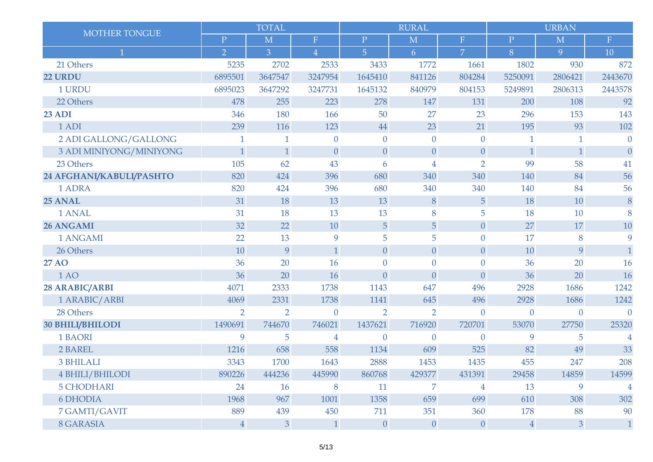|                          |                | <b>TOTAL</b>   |                |                  | <b>RURAL</b>     |                  |                | <b>URBAN</b>   |                |
|--------------------------|----------------|----------------|----------------|------------------|------------------|------------------|----------------|----------------|----------------|
| MOTHER TONGUE            | $\mathbf{P}$   | M              | ${\bf F}$      | $\mathbf P$      | M                | ${\bf F}$        | $\mathbf{P}$   | M              | $\mathbf F$    |
|                          | $\overline{2}$ | $\overline{3}$ | $\overline{4}$ | $\overline{5}$   | 6                | $\overline{7}$   | 8              | 9              | 10             |
| 21 Others                | 5235           | 2702           | 2533           | 3433             | 1772             | 1661             | 1802           | 930            | 872            |
| <b>22 URDU</b>           | 6895501        | 3647547        | 3247954        | 1645410          | 841126           | 804284           | 5250091        | 2806421        | 2443670        |
| 1 URDU                   | 6895023        | 3647292        | 3247731        | 1645132          | 840979           | 804153           | 5249891        | 2806313        | 2443578        |
| 22 Others                | 478            | 255            | 223            | 278              | 147              | 131              | 200            | 108            | 92             |
| <b>23 ADI</b>            | 346            | 180            | 166            | 50               | 27               | 23               | 296            | 153            | 143            |
| 1 ADI                    | 239            | 116            | 123            | 44               | 23               | 21               | 195            | 93             | 102            |
| 2 ADI GALLONG/GALLONG    | $\mathbf{1}$   | $\mathbf{1}$   | $\overline{0}$ | $\overline{0}$   | $\overline{0}$   | $\mathbf{0}$     | $\mathbf{1}$   | $\mathbf{1}$   | $\theta$       |
| 3 ADI MINIYONG/MINIYONG  | $\mathbf{1}$   | $\mathbf{1}$   | $\overline{0}$ | $\boldsymbol{0}$ | $\boldsymbol{0}$ | $\boldsymbol{0}$ | $\mathbf{1}$   | $\mathbf{1}$   | $\overline{0}$ |
| 23 Others                | 105            | 62             | 43             | 6                | $\overline{4}$   | $\overline{2}$   | 99             | 58             | 41             |
| 24 AFGHANI/KABULI/PASHTO | 820            | 424            | 396            | 680              | 340              | 340              | 140            | 84             | 56             |
| 1 ADRA                   | 820            | 424            | 396            | 680              | 340              | 340              | 140            | 84             | 56             |
| 25 ANAL                  | 31             | 18             | 13             | 13               | 8                | $\overline{5}$   | 18             | 10             | 8              |
| 1 ANAL                   | 31             | 18             | 13             | 13               | 8                | 5                | 18             | 10             | 8              |
| 26 ANGAMI                | 32             | 22             | 10             | $\overline{5}$   | 5                | $\boldsymbol{0}$ | 27             | 17             | 10             |
| 1 ANGAMI                 | 22             | 13             | 9              | 5                | 5                | $\theta$         | 17             | 8              | 9              |
| 26 Others                | 10             | 9              | $\mathbf{1}$   | $\overline{0}$   | $\theta$         | $\overline{0}$   | 10             | 9              | $\mathbf{1}$   |
| <b>27 AO</b>             | 36             | 20             | 16             | $\overline{0}$   | $\overline{0}$   | $\overline{0}$   | 36             | 20             | 16             |
| 1 AO                     | 36             | 20             | 16             | $\overline{0}$   | $\theta$         | $\theta$         | 36             | 20             | 16             |
| 28 ARABIC/ARBI           | 4071           | 2333           | 1738           | 1143             | 647              | 496              | 2928           | 1686           | 1242           |
| 1 ARABIC/ARBI            | 4069           | 2331           | 1738           | 1141             | 645              | 496              | 2928           | 1686           | 1242           |
| 28 Others                | $\overline{2}$ | $\overline{2}$ | $\overline{0}$ | $\overline{2}$   | $\overline{2}$   | $\overline{0}$   | $\overline{0}$ | $\overline{0}$ | $\theta$       |
| <b>30 BHILI/BHILODI</b>  | 1490691        | 744670         | 746021         | 1437621          | 716920           | 720701           | 53070          | 27750          | 25320          |
| 1 BAORI                  | 9              | 5              | $\overline{4}$ | $\theta$         | $\theta$         | $\overline{0}$   | 9              | 5              | 4              |
| 2 BAREL                  | 1216           | 658            | 558            | 1134             | 609              | 525              | 82             | 49             | 33             |
| 3 BHILALI                | 3343           | 1700           | 1643           | 2888             | 1453             | 1435             | 455            | 247            | 208            |
| 4 BHILI/BHILODI          | 890226         | 444236         | 445990         | 860768           | 429377           | 431391           | 29458          | 14859          | 14599          |
| <b>5 CHODHARI</b>        | 24             | 16             | 8              | 11               | $\overline{7}$   | $\overline{4}$   | 13             | 9              | $\overline{4}$ |
| 6 DHODIA                 | 1968           | 967            | 1001           | 1358             | 659              | 699              | 610            | 308            | 302            |
| 7 GAMTI/GAVIT            | 889            | 439            | 450            | 711              | 351              | 360              | 178            | 88             | 90             |
| 8 GARASIA                | $\sqrt{4}$     | 3 <sup>1</sup> | $\mathbf{1}$   | $\boldsymbol{0}$ | $\boldsymbol{0}$ | $\boldsymbol{0}$ | $\overline{4}$ | 3 <sup>1</sup> | $1\,$          |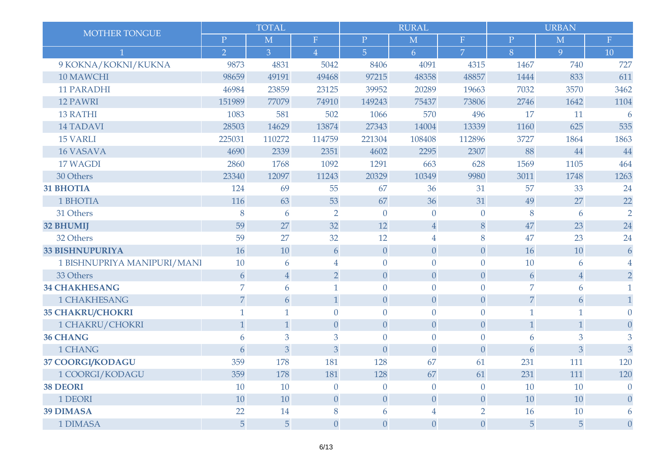|                             |                | <b>TOTAL</b>   |                  |                  | <b>RURAL</b>     |                  |                | <b>URBAN</b>     |                  |
|-----------------------------|----------------|----------------|------------------|------------------|------------------|------------------|----------------|------------------|------------------|
| MOTHER TONGUE               | $\mathbf{P}$   | M              | $\mathbf F$      | $\mathbf P$      | M                | $\mathbf F$      | $\mathbf P$    | M                | $\mathbf F$      |
|                             | $\overline{2}$ | 3              | $\overline{4}$   | $\overline{5}$   | 6                | $\overline{7}$   | 8              | 9                | 10               |
| 9 KOKNA/KOKNI/KUKNA         | 9873           | 4831           | 5042             | 8406             | 4091             | 4315             | 1467           | 740              | 727              |
| 10 MAWCHI                   | 98659          | 49191          | 49468            | 97215            | 48358            | 48857            | 1444           | 833              | 611              |
| <b>11 PARADHI</b>           | 46984          | 23859          | 23125            | 39952            | 20289            | 19663            | 7032           | 3570             | 3462             |
| <b>12 PAWRI</b>             | 151989         | 77079          | 74910            | 149243           | 75437            | 73806            | 2746           | 1642             | 1104             |
| <b>13 RATHI</b>             | 1083           | 581            | 502              | 1066             | 570              | 496              | 17             | 11               | 6                |
| <b>14 TADAVI</b>            | 28503          | 14629          | 13874            | 27343            | 14004            | 13339            | 1160           | 625              | 535              |
| <b>15 VARLI</b>             | 225031         | 110272         | 114759           | 221304           | 108408           | 112896           | 3727           | 1864             | 1863             |
| <b>16 VASAVA</b>            | 4690           | 2339           | 2351             | 4602             | 2295             | 2307             | 88             | 44               | 44               |
| 17 WAGDI                    | 2860           | 1768           | 1092             | 1291             | 663              | 628              | 1569           | 1105             | 464              |
| 30 Others                   | 23340          | 12097          | 11243            | 20329            | 10349            | 9980             | 3011           | 1748             | 1263             |
| <b>31 BHOTIA</b>            | 124            | 69             | 55               | 67               | 36               | 31               | 57             | 33               | 24               |
| 1 BHOTIA                    | 116            | 63             | 53               | 67               | 36               | 31               | 49             | 27               | 22               |
| 31 Others                   | 8              | 6              | $\overline{2}$   | $\theta$         | $\overline{0}$   | $\overline{0}$   | 8              | 6                | $\overline{2}$   |
| <b>32 BHUMIJ</b>            | 59             | 27             | 32               | 12               | $\overline{4}$   | 8                | 47             | 23               | 24               |
| 32 Others                   | 59             | 27             | 32               | 12               | $\overline{4}$   | 8                | 47             | 23               | 24               |
| <b>33 BISHNUPURIYA</b>      | 16             | 10             | 6                | $\theta$         | $\theta$         | $\overline{0}$   | 16             | 10               | 6                |
| 1 BISHNUPRIYA MANIPURI/MANI | 10             | 6              | 4                | $\mathbf{0}$     | $\overline{0}$   | $\overline{0}$   | 10             | 6                |                  |
| 33 Others                   | 6              | $\sqrt{4}$     | $\overline{2}$   | $\overline{0}$   | $\theta$         | $\boldsymbol{0}$ | 6              | $\sqrt{4}$       | $\overline{2}$   |
| <b>34 CHAKHESANG</b>        | 7              | 6              | 1                | $\mathbf{0}$     | $\theta$         | $\overline{0}$   | 7              | 6                | 1                |
| 1 CHAKHESANG                | $\overline{7}$ | 6              | $\mathbf{1}$     | $\theta$         | $\boldsymbol{0}$ | $\boldsymbol{0}$ | $\overline{7}$ | $\boldsymbol{6}$ | $\mathbf{1}$     |
| <b>35 CHAKRU/CHOKRI</b>     | $\mathbf{1}$   | $\mathbf{1}$   | $\overline{0}$   | $\overline{0}$   | $\theta$         | $\theta$         | $\mathbf{1}$   | $\mathbf{1}$     | $\Omega$         |
| 1 CHAKRU/CHOKRI             | $\mathbf{1}$   | $\mathbf{1}$   | $\theta$         | $\theta$         | $\theta$         | $\overline{0}$   | $\mathbf{1}$   | 1                | $\boldsymbol{0}$ |
| <b>36 CHANG</b>             | 6              | $\overline{3}$ | 3                | $\mathbf{0}$     | $\overline{0}$   | $\overline{0}$   | 6              | 3                | 3                |
| 1 CHANG                     | 6              | $\overline{3}$ | 3                | $\overline{0}$   | $\theta$         | $\theta$         | 6              | 3                | 3                |
| 37 COORGI/KODAGU            | 359            | 178            | 181              | 128              | 67               | 61               | 231            | 111              | 120              |
| 1 COORGI/KODAGU             | 359            | 178            | 181              | 128              | 67               | 61               | 231            | 111              | 120              |
| <b>38 DEORI</b>             | 10             | 10             | $\boldsymbol{0}$ | $\theta$         | $\overline{0}$   | $\theta$         | 10             | 10               | $\theta$         |
| 1 DEORI                     | 10             | 10             | $\theta$         | $\theta$         | $\theta$         | $\theta$         | 10             | 10               | $\overline{0}$   |
| <b>39 DIMASA</b>            | 22             | 14             | 8                | 6                | $\overline{4}$   | $\overline{2}$   | 16             | 10               | 6                |
| 1 DIMASA                    | 5              | $\overline{5}$ | $\boldsymbol{0}$ | $\boldsymbol{0}$ | $\boldsymbol{0}$ | $\boldsymbol{0}$ | $\overline{5}$ | 5                | $\boldsymbol{0}$ |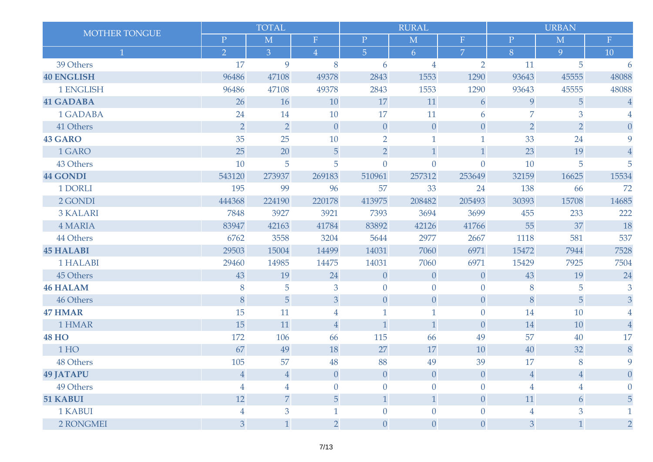| MOTHER TONGUE     |                | <b>TOTAL</b>   |                |                | <b>RURAL</b>     |                  |                | <b>URBAN</b>   |                  |
|-------------------|----------------|----------------|----------------|----------------|------------------|------------------|----------------|----------------|------------------|
|                   | $\mathbf P$    | M              | $\, {\bf F}$   | $\mathbf{P}$   | M                | $\mathbf{F}$     | $\mathbf P$    | M              | $\mathbf F$      |
| $\mathbf{1}$      | $\overline{2}$ | $\overline{3}$ | $\overline{4}$ | $\overline{5}$ | 6                | $\overline{7}$   | 8              | 9              | 10               |
| 39 Others         | 17             | 9              | 8              | 6              | $\overline{4}$   | $\overline{2}$   | 11             | 5              | 6                |
| <b>40 ENGLISH</b> | 96486          | 47108          | 49378          | 2843           | 1553             | 1290             | 93643          | 45555          | 48088            |
| 1 ENGLISH         | 96486          | 47108          | 49378          | 2843           | 1553             | 1290             | 93643          | 45555          | 48088            |
| <b>41 GADABA</b>  | 26             | 16             | 10             | 17             | 11               | 6                | 9              | 5              | $\bf 4$          |
| 1 GADABA          | 24             | 14             | 10             | 17             | 11               | 6                | $\overline{7}$ | 3              |                  |
| 41 Others         | $\overline{2}$ | $\overline{2}$ | $\theta$       | $\theta$       | $\boldsymbol{0}$ | $\boldsymbol{0}$ | $\overline{2}$ | $\overline{2}$ | $\overline{0}$   |
| <b>43 GARO</b>    | 35             | 25             | 10             | $\overline{2}$ | $\mathbf{1}$     | $\mathbf 1$      | 33             | 24             | 9                |
| 1 GARO            | 25             | 20             | 5              | $\overline{2}$ | $\mathbf{1}$     | $\mathbf{1}$     | 23             | 19             | $\overline{4}$   |
| 43 Others         | 10             | 5              | 5              | $\overline{0}$ | $\theta$         | $\theta$         | 10             | 5              | 5                |
| <b>44 GONDI</b>   | 543120         | 273937         | 269183         | 510961         | 257312           | 253649           | 32159          | 16625          | 15534            |
| 1 DORLI           | 195            | 99             | 96             | 57             | 33               | 24               | 138            | 66             | 72               |
| 2 GONDI           | 444368         | 224190         | 220178         | 413975         | 208482           | 205493           | 30393          | 15708          | 14685            |
| <b>3 KALARI</b>   | 7848           | 3927           | 3921           | 7393           | 3694             | 3699             | 455            | 233            | 222              |
| <b>4 MARIA</b>    | 83947          | 42163          | 41784          | 83892          | 42126            | 41766            | 55             | 37             | 18               |
| 44 Others         | 6762           | 3558           | 3204           | 5644           | 2977             | 2667             | 1118           | 581            | 537              |
| <b>45 HALABI</b>  | 29503          | 15004          | 14499          | 14031          | 7060             | 6971             | 15472          | 7944           | 7528             |
| 1 HALABI          | 29460          | 14985          | 14475          | 14031          | 7060             | 6971             | 15429          | 7925           | 7504             |
| 45 Others         | 43             | 19             | 24             | $\theta$       | $\theta$         | $\theta$         | 43             | 19             | 24               |
| <b>46 HALAM</b>   | 8              | 5              | 3              | $\overline{0}$ | $\overline{0}$   | $\overline{0}$   | 8              | 5              | 3                |
| 46 Others         | 8              | 5              | 3              | $\theta$       | $\boldsymbol{0}$ | $\boldsymbol{0}$ | $\, 8$         | $\sqrt{5}$     | 3                |
| <b>47 HMAR</b>    | 15             | 11             | 4              | $\mathbf{1}$   | $\mathbf{1}$     | $\theta$         | 14             | 10             |                  |
| 1 HMAR            | 15             | 11             | $\overline{4}$ | $\mathbf{1}$   | $\mathbf{1}$     | $\overline{0}$   | 14             | 10             | $\overline{4}$   |
| <b>48 HO</b>      | 172            | 106            | 66             | 115            | 66               | 49               | 57             | 40             | 17               |
| 1HO               | 67             | 49             | 18             | 27             | 17               | 10               | 40             | 32             | $\, 8$           |
| 48 Others         | 105            | 57             | 48             | 88             | 49               | 39               | 17             | 8              | 9                |
| <b>49 JATAPU</b>  | $\overline{4}$ | $\overline{4}$ | $\theta$       | $\overline{0}$ | $\theta$         | $\overline{0}$   | $\overline{4}$ | $\overline{4}$ | $\left( \right)$ |
| 49 Others         | 4              | 4              | $\Omega$       | $\overline{0}$ | $\overline{0}$   | $\overline{0}$   | $\overline{4}$ | $\overline{4}$ |                  |
| 51 KABUI          | 12             | $\overline{7}$ | 5              | $\mathbf{1}$   | $\mathbf{1}$     | $\theta$         | 11             | 6              | 5                |
| 1 KABUI           | 4              | $\overline{3}$ |                | $\overline{0}$ | $\theta$         | $\theta$         | $\overline{4}$ | 3              |                  |
| 2 RONGMEI         | 3              | 1              | $\overline{2}$ | $\overline{0}$ | $\theta$         | $\theta$         | 3              | 1              | $\overline{2}$   |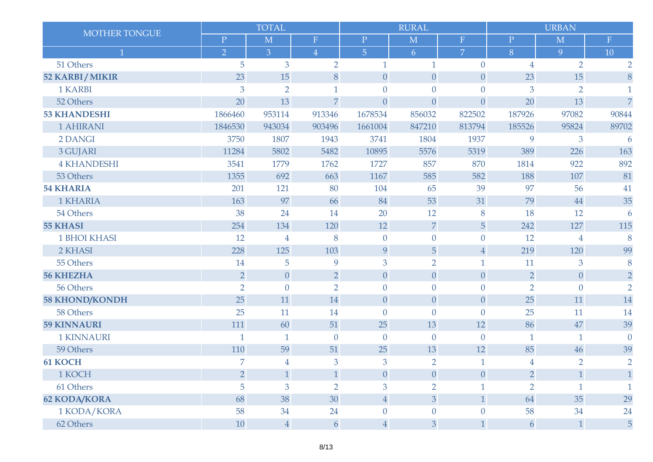| MOTHER TONGUE         |                | <b>TOTAL</b>   |                |                | <b>RURAL</b>     |                  |                | <b>URBAN</b>   |                |
|-----------------------|----------------|----------------|----------------|----------------|------------------|------------------|----------------|----------------|----------------|
|                       | $\mathbf P$    | M              | ${\bf F}$      | $\mathbf P$    | M                | $\mathbf F$      | $\mathbf P$    | M              | ${\bf F}$      |
| $\mathbf{1}$          | $\overline{2}$ | $\overline{3}$ | $\overline{4}$ | $\overline{5}$ | 6                | $\overline{7}$   | 8              | 9              | 10             |
| 51 Others             | 5              | 3              | $\overline{2}$ | 1              | $\mathbf{1}$     | $\overline{0}$   | $\overline{4}$ | $\overline{2}$ | $\overline{2}$ |
| <b>52 KARBI/MIKIR</b> | 23             | 15             | 8              | $\overline{0}$ | $\boldsymbol{0}$ | $\theta$         | 23             | 15             | 8              |
| 1 KARBI               | 3              | $\overline{2}$ | $\mathbf{1}$   | $\mathbf{0}$   | $\overline{0}$   | $\overline{0}$   | 3              | $\overline{2}$ |                |
| 52 Others             | 20             | 13             | $\overline{7}$ | $\overline{0}$ | $\theta$         | $\overline{0}$   | 20             | 13             | $\overline{7}$ |
| <b>53 KHANDESHI</b>   | 1866460        | 953114         | 913346         | 1678534        | 856032           | 822502           | 187926         | 97082          | 90844          |
| <b>1 AHIRANI</b>      | 1846530        | 943034         | 903496         | 1661004        | 847210           | 813794           | 185526         | 95824          | 89702          |
| 2 DANGI               | 3750           | 1807           | 1943           | 3741           | 1804             | 1937             | 9              | 3              | 6              |
| 3 GUJARI              | 11284          | 5802           | 5482           | 10895          | 5576             | 5319             | 389            | 226            | 163            |
| <b>4 KHANDESHI</b>    | 3541           | 1779           | 1762           | 1727           | 857              | 870              | 1814           | 922            | 892            |
| 53 Others             | 1355           | 692            | 663            | 1167           | 585              | 582              | 188            | 107            | 81             |
| <b>54 KHARIA</b>      | 201            | 121            | 80             | 104            | 65               | 39               | 97             | 56             | 41             |
| 1 KHARIA              | 163            | 97             | 66             | 84             | 53               | 31               | 79             | 44             | 35             |
| 54 Others             | 38             | 24             | 14             | 20             | 12               | 8                | 18             | 12             | 6              |
| <b>55 KHASI</b>       | 254            | 134            | 120            | 12             | $\boldsymbol{7}$ | 5                | 242            | 127            | 115            |
| <b>1 BHOI KHASI</b>   | 12             | $\overline{4}$ | 8              | $\mathbf{0}$   | $\overline{0}$   | $\theta$         | 12             | $\overline{4}$ | 8              |
| 2 KHASI               | 228            | 125            | 103            | 9              | 5                | $\overline{4}$   | 219            | 120            | 99             |
| 55 Others             | 14             | 5              | 9              | 3              | $\overline{2}$   | $\mathbf{1}$     | 11             | 3              | 8              |
| <b>56 KHEZHA</b>      | $\overline{2}$ | $\overline{0}$ | $\overline{2}$ | $\overline{0}$ | $\theta$         | $\theta$         | $\overline{2}$ | $\theta$       | $\overline{2}$ |
| 56 Others             | $\overline{2}$ | $\overline{0}$ | $\overline{2}$ | $\overline{0}$ | $\mathbf{0}$     | $\overline{0}$   | $\overline{2}$ | $\mathbf{0}$   | $\overline{2}$ |
| <b>58 KHOND/KONDH</b> | 25             | 11             | 14             | $\overline{0}$ | $\boldsymbol{0}$ | $\boldsymbol{0}$ | 25             | 11             | 14             |
| 58 Others             | 25             | 11             | 14             | $\overline{0}$ | $\overline{0}$   | $\overline{0}$   | 25             | 11             | 14             |
| <b>59 KINNAURI</b>    | 111            | 60             | 51             | 25             | 13               | 12               | 86             | 47             | 39             |
| <b>1 KINNAURI</b>     | $\mathbf{1}$   | $\mathbf{1}$   | $\theta$       | $\theta$       | $\theta$         | $\mathbf{0}$     | $\mathbf{1}$   | 1              | $\theta$       |
| 59 Others             | 110            | 59             | 51             | 25             | 13               | 12               | 85             | 46             | 39             |
| <b>61 KOCH</b>        | 7              | 4              | 3              | 3              | $\overline{2}$   | $\mathbf{1}$     | $\overline{4}$ | $\overline{2}$ | $\overline{2}$ |
| 1 KOCH                | $\overline{2}$ | $\mathbf{1}$   | $\mathbf{1}$   | $\overline{0}$ | $\theta$         | $\theta$         | $\overline{2}$ | $\mathbf{1}$   |                |
| 61 Others             | 5              | 3              | $\overline{2}$ | $\overline{3}$ | $\overline{2}$   | 1                | $\overline{2}$ |                | 1              |
| <b>62 KODA/KORA</b>   | 68             | 38             | 30             | $\overline{4}$ | 3                | $\mathbf{1}$     | 64             | 35             | 29             |
| 1 KODA/KORA           | 58             | 34             | 24             | $\overline{0}$ | $\mathbf{0}$     | $\overline{0}$   | 58             | 34             | 24             |
| 62 Others             | 10             | $\overline{4}$ | 6              | $\overline{4}$ | 3                | $\mathbf{1}$     | 6              | 1              | 5              |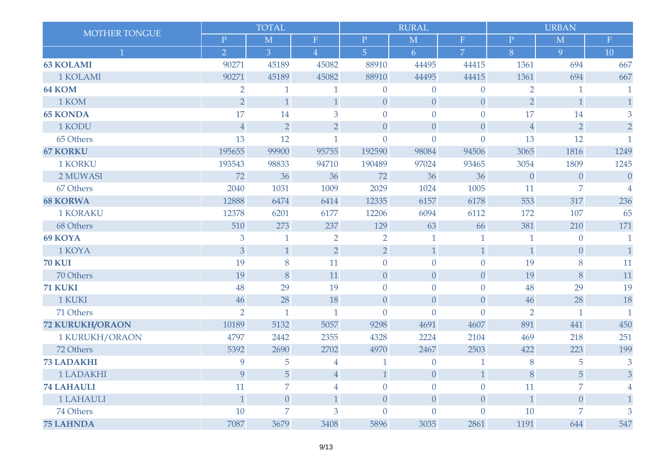| MOTHER TONGUE          |                | <b>TOTAL</b>   |                |                  | <b>RURAL</b>     |                  | <b>URBAN</b>   |                  |                |
|------------------------|----------------|----------------|----------------|------------------|------------------|------------------|----------------|------------------|----------------|
|                        | $\mathbf P$    | M              | $\mathbf F$    | $\mathbf{P}$     | M                | $\mathbf F$      | $\mathbf{P}$   | M                | $\mathbf F$    |
| 1                      | $\overline{2}$ | $\overline{3}$ | $\overline{4}$ | $\overline{5}$   | 6                | $\overline{7}$   | 8              | 9                | 10             |
| <b>63 KOLAMI</b>       | 90271          | 45189          | 45082          | 88910            | 44495            | 44415            | 1361           | 694              | 667            |
| 1 KOLAMI               | 90271          | 45189          | 45082          | 88910            | 44495            | 44415            | 1361           | 694              | 667            |
| 64 KOM                 | $\overline{2}$ | $\mathbf{1}$   | $\mathbf{1}$   | $\mathbf{0}$     | $\theta$         | $\theta$         | $\overline{2}$ | $\mathbf{1}$     |                |
| 1 KOM                  | $\overline{2}$ | $\mathbf{1}$   | $\mathbf{1}$   | $\theta$         | $\overline{0}$   | $\theta$         | $\overline{2}$ | $\mathbf{1}$     | $\mathbf{1}$   |
| <b>65 KONDA</b>        | 17             | 14             | 3              | $\overline{0}$   | $\overline{0}$   | $\overline{0}$   | 17             | 14               | 3              |
| 1 KODU                 | $\sqrt{4}$     | $\overline{2}$ | $\overline{2}$ | $\overline{0}$   | $\theta$         | $\theta$         | $\sqrt{4}$     | $\overline{2}$   | $\overline{2}$ |
| 65 Others              | 13             | 12             | $\mathbf{1}$   | $\overline{0}$   | $\theta$         | $\theta$         | 13             | 12               | $\mathbf{1}$   |
| <b>67 KORKU</b>        | 195655         | 99900          | 95755          | 192590           | 98084            | 94506            | 3065           | 1816             | 1249           |
| <b>1 KORKU</b>         | 193543         | 98833          | 94710          | 190489           | 97024            | 93465            | 3054           | 1809             | 1245           |
| 2 MUWASI               | 72             | 36             | 36             | 72               | 36               | 36               | $\overline{0}$ | $\overline{0}$   | $\overline{0}$ |
| 67 Others              | 2040           | 1031           | 1009           | 2029             | 1024             | 1005             | 11             | 7                | 4              |
| <b>68 KORWA</b>        | 12888          | 6474           | 6414           | 12335            | 6157             | 6178             | 553            | 317              | 236            |
| <b>1 KORAKU</b>        | 12378          | 6201           | 6177           | 12206            | 6094             | 6112             | 172            | 107              | 65             |
| 68 Others              | 510            | 273            | 237            | 129              | 63               | 66               | 381            | 210              | 171            |
| 69 KOYA                | $\mathfrak{B}$ | $\mathbf{1}$   | $\overline{2}$ | $\overline{2}$   | $\mathbf{1}$     | $\mathbf{1}$     |                | $\theta$         | 1              |
| 1 KOYA                 | $\overline{3}$ | 1              | $\overline{2}$ | $\overline{2}$   | $\mathbf{1}$     | $\mathbf{1}$     | $\mathbf{1}$   | $\boldsymbol{0}$ | $\mathbf{1}$   |
| <b>70 KUI</b>          | 19             | 8              | 11             | $\overline{0}$   | $\overline{0}$   | $\overline{0}$   | 19             | 8                | 11             |
| 70 Others              | 19             | 8              | 11             | $\overline{0}$   | $\theta$         | $\boldsymbol{0}$ | 19             | 8                | 11             |
| 71 KUKI                | 48             | 29             | 19             | $\overline{0}$   | $\overline{0}$   | $\theta$         | 48             | 29               | 19             |
| 1 KUKI                 | 46             | 28             | 18             | $\boldsymbol{0}$ | $\boldsymbol{0}$ | $\theta$         | 46             | 28               | 18             |
| 71 Others              | $\overline{2}$ | $\mathbf{1}$   | $\mathbf{1}$   | $\overline{0}$   | $\overline{0}$   | $\overline{0}$   | $\overline{2}$ | $\mathbf 1$      | $\mathbf{1}$   |
| <b>72 KURUKH/ORAON</b> | 10189          | 5132           | 5057           | 9298             | 4691             | 4607             | 891            | 441              | 450            |
| 1 KURUKH/ORAON         | 4797           | 2442           | 2355           | 4328             | 2224             | 2104             | 469            | 218              | 251            |
| 72 Others              | 5392           | 2690           | 2702           | 4970             | 2467             | 2503             | 422            | 223              | 199            |
| <b>73 LADAKHI</b>      | 9              | 5              | $\overline{4}$ | $\mathbf{1}$     | $\theta$         | $\mathbf{1}$     | 8              | 5                | 3              |
| 1 LADAKHI              | 9              | 5              | $\overline{4}$ | $\mathbf{1}$     | $\theta$         | $\mathbf{1}$     | 8              | 5                | 3              |
| <b>74 LAHAULI</b>      | 11             | 7              | 4              | $\overline{0}$   | $\theta$         | $\theta$         | 11             | $\overline{7}$   |                |
| 1 LAHAULI              | $\mathbf{1}$   | $\theta$       | $\mathbf{1}$   | $\theta$         | $\theta$         | $\theta$         | $\mathbf{1}$   | $\overline{0}$   | $\mathbf{1}$   |
| 74 Others              | 10             | 7              | 3              | $\theta$         | $\overline{0}$   | $\overline{0}$   | 10             | 7                | 3              |
| <b>75 LAHNDA</b>       | 7087           | 3679           | 3408           | 5896             | 3035             | 2861             | 1191           | 644              | 547            |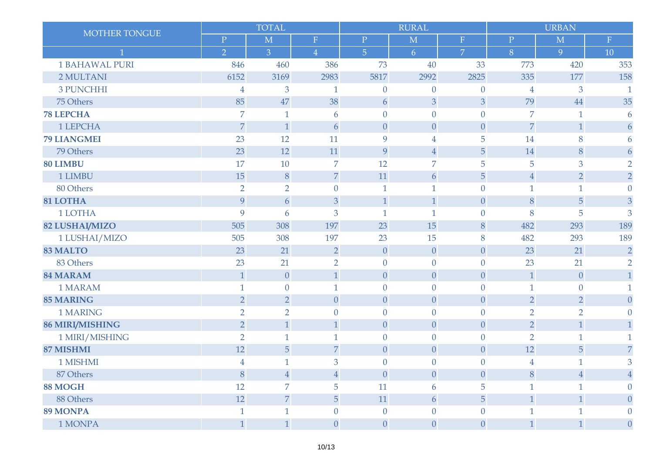| <b>MOTHER TONGUE</b>   |                | <b>TOTAL</b>     |                  |                  | <b>RURAL</b>     |                  | <b>URBAN</b>   |                  |                  |
|------------------------|----------------|------------------|------------------|------------------|------------------|------------------|----------------|------------------|------------------|
|                        | $\overline{P}$ | M                | $\mathbf F$      | $\mathbf P$      | M                | $\mathbf F$      | ${\bf P}$      | M                | ${\bf F}$        |
|                        | $\overline{2}$ | $\overline{3}$   | $\sqrt{4}$       | $\overline{5}$   | 6                | $\overline{7}$   | 8              | 9                | 10               |
| <b>1 BAHAWAL PURI</b>  | 846            | 460              | 386              | 73               | 40               | 33               | 773            | 420              | 353              |
| 2 MULTANI              | 6152           | 3169             | 2983             | 5817             | 2992             | 2825             | 335            | 177              | 158              |
| <b>3 PUNCHHI</b>       | $\overline{4}$ | 3                | 1                | $\theta$         | $\theta$         | $\theta$         | $\overline{4}$ | 3                | 1                |
| 75 Others              | 85             | 47               | 38               | 6                | 3                | 3                | 79             | 44               | 35               |
| <b>78 LEPCHA</b>       | 7              | 1                | 6                | $\mathbf{0}$     | $\overline{0}$   | $\overline{0}$   | $\overline{7}$ | 1                | 6                |
| 1 LEPCHA               | $\overline{7}$ | $\mathbf{1}$     | 6                | $\overline{0}$   | $\boldsymbol{0}$ | $\boldsymbol{0}$ | $\overline{7}$ | $\mathbf{1}$     | 6                |
| <b>79 LIANGMEI</b>     | 23             | 12               | 11               | 9                | $\overline{4}$   | 5                | 14             | 8                | 6                |
| 79 Others              | 23             | 12               | 11               | 9                | $\sqrt{4}$       | 5                | 14             | 8                | 6                |
| 80 LIMBU               | 17             | 10               | 7                | 12               | $\overline{7}$   | 5                | 5              | 3                | $\overline{2}$   |
| 1 LIMBU                | 15             | $\, 8$           | $\overline{7}$   | 11               | 6                | 5                | $\overline{4}$ | $\overline{2}$   | $\overline{2}$   |
| 80 Others              | $\overline{2}$ | $\overline{2}$   | $\overline{0}$   | $\mathbf 1$      | 1                | $\theta$         | $\mathbf{1}$   | 1                | $\theta$         |
| 81 LOTHA               | 9              | 6                | 3                | $\mathbf{1}$     | $\mathbf{1}$     | $\theta$         | 8              | 5                | 3                |
| 1 LOTHA                | 9              | 6                | 3                | $\mathbf{1}$     | $\mathbf{1}$     | $\theta$         | 8              | 5                | 3                |
| <b>82 LUSHAI/MIZO</b>  | 505            | 308              | 197              | 23               | 15               | $\, 8$           | 482            | 293              | 189              |
| 1 LUSHAI/MIZO          | 505            | 308              | 197              | 23               | 15               | 8                | 482            | 293              | 189              |
| <b>83 MALTO</b>        | 23             | 21               | $\overline{2}$   | $\theta$         | $\theta$         | $\theta$         | 23             | 21               | $\overline{2}$   |
| 83 Others              | 23             | 21               | $\overline{2}$   | $\overline{0}$   | $\overline{0}$   | $\overline{0}$   | 23             | 21               | $\overline{2}$   |
| <b>84 MARAM</b>        | $\mathbf{1}$   | $\boldsymbol{0}$ | $\mathbf{1}$     | $\overline{0}$   | $\boldsymbol{0}$ | $\boldsymbol{0}$ | $\mathbf{1}$   | $\boldsymbol{0}$ | $\mathbf{1}$     |
| 1 MARAM                | 1              | $\overline{0}$   | 1                | $\overline{0}$   | $\theta$         | $\theta$         | $\mathbf{1}$   | $\boldsymbol{0}$ | 1                |
| <b>85 MARING</b>       | $\overline{2}$ | $\overline{2}$   | $\boldsymbol{0}$ | $\theta$         | $\boldsymbol{0}$ | $\boldsymbol{0}$ | $\overline{2}$ | $\overline{2}$   | $\theta$         |
| 1 MARING               | $\overline{2}$ | $\overline{2}$   | $\theta$         | $\overline{0}$   | $\theta$         | $\theta$         | $\overline{2}$ | $\overline{2}$   | 0                |
| <b>86 MIRI/MISHING</b> | $\overline{2}$ | $\mathbf{1}$     | $\mathbf{1}$     | $\theta$         | $\theta$         | $\theta$         | $\overline{2}$ | $\mathbf{1}$     |                  |
| 1 MIRI/MISHING         | $\overline{2}$ | 1                | 1                | $\overline{0}$   | $\overline{0}$   | $\theta$         | $\overline{2}$ | 1                |                  |
| 87 MISHMI              | 12             | 5                | $\overline{7}$   | $\theta$         | $\theta$         | $\boldsymbol{0}$ | 12             | 5                | $\overline{7}$   |
| 1 MISHMI               | $\overline{4}$ | $\mathbf{1}$     | 3                | $\theta$         | $\overline{0}$   | $\theta$         | $\overline{4}$ | $\mathbf{1}$     | 3                |
| 87 Others              | $\, 8$         | $\overline{4}$   | $\overline{4}$   | $\theta$         | $\theta$         | $\theta$         | 8              | $\overline{4}$   | 4                |
| 88 MOGH                | 12             | 7                | 5                | 11               | 6                | 5                | $\mathbf{1}$   | $\mathbf{1}$     | $\theta$         |
| 88 Others              | 12             | $\overline{7}$   | 5                | 11               | $\boldsymbol{6}$ | 5                | $\mathbf{1}$   | $\mathbf{1}$     | $\overline{0}$   |
| <b>89 MONPA</b>        |                |                  | $\overline{0}$   | $\overline{0}$   | $\overline{0}$   | $\overline{0}$   | $\mathbf{1}$   |                  |                  |
| 1 MONPA                | $\mathbf{1}$   | $\mathbf{1}$     | $\boldsymbol{0}$ | $\boldsymbol{0}$ | $\boldsymbol{0}$ | $\boldsymbol{0}$ | $\mathbf{1}$   | $\mathbf{1}$     | $\boldsymbol{0}$ |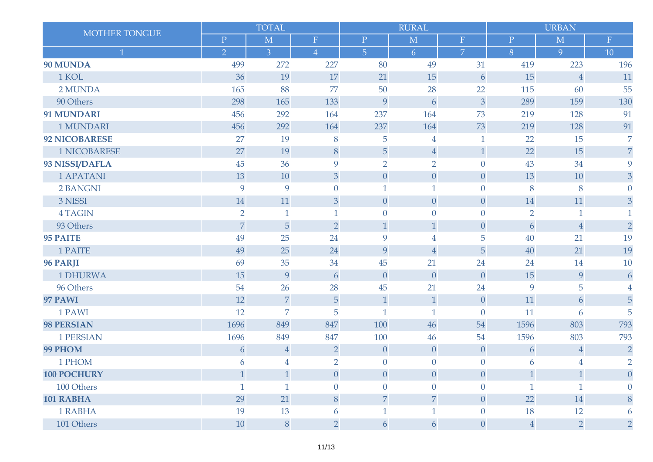|                      |                | <b>TOTAL</b>   |                |                | <b>RURAL</b>   |                  |                | <b>URBAN</b>     |                  |
|----------------------|----------------|----------------|----------------|----------------|----------------|------------------|----------------|------------------|------------------|
| MOTHER TONGUE        | $\mathbf P$    | $\mathbf{M}$   | $\mathbf F$    | $\mathbf P$    | M              | $\mathbf F$      | $\mathbf P$    | M                | ${\bf F}$        |
| $\overline{1}$       | $\overline{2}$ | $\overline{3}$ | $\overline{4}$ | $\overline{5}$ | 6              | $\overline{7}$   | 8              | 9                | 10               |
| 90 MUNDA             | 499            | 272            | 227            | 80             | 49             | 31               | 419            | 223              | 196              |
| 1 KOL                | 36             | 19             | 17             | 21             | 15             | 6                | 15             | $\overline{4}$   | 11               |
| 2 MUNDA              | 165            | 88             | 77             | 50             | 28             | 22               | 115            | 60               | 55               |
| 90 Others            | 298            | 165            | 133            | 9              | 6              | 3                | 289            | 159              | 130              |
| 91 MUNDARI           | 456            | 292            | 164            | 237            | 164            | 73               | 219            | 128              | 91               |
| 1 MUNDARI            | 456            | 292            | 164            | 237            | 164            | 73               | 219            | 128              | 91               |
| <b>92 NICOBARESE</b> | 27             | 19             | 8              | 5              | $\overline{4}$ | $\mathbf{1}$     | 22             | 15               | $\overline{7}$   |
| <b>1 NICOBARESE</b>  | 27             | 19             | 8              | 5              | $\sqrt{4}$     | $\mathbf{1}$     | 22             | 15               | $\overline{7}$   |
| 93 NISSI/DAFLA       | 45             | 36             | 9              | $\overline{2}$ | $\overline{2}$ | $\overline{0}$   | 43             | 34               | 9                |
| <b>1 APATANI</b>     | 13             | 10             | 3              | $\overline{0}$ | $\theta$       | $\theta$         | 13             | 10               | 3                |
| 2 BANGNI             | 9              | 9              | $\overline{0}$ | $\mathbf{1}$   | $\mathbf{1}$   | $\overline{0}$   | 8              | 8                | $\overline{0}$   |
| 3 NISSI              | 14             | 11             | $\mathfrak{B}$ | $\overline{0}$ | $\theta$       | $\overline{0}$   | 14             | 11               | 3                |
| <b>4 TAGIN</b>       | $\overline{2}$ | $\mathbf{1}$   | $\mathbf{1}$   | $\overline{0}$ | $\theta$       | $\overline{0}$   | $\overline{2}$ | $\mathbf{1}$     | 1                |
| 93 Others            | $\overline{7}$ | 5              | $\overline{2}$ | $\mathbf{1}$   | $1\,$          | $\boldsymbol{0}$ | 6              | $\sqrt{4}$       | $\overline{2}$   |
| <b>95 PAITE</b>      | 49             | 25             | 24             | 9              | $\overline{4}$ | 5                | 40             | 21               | 19               |
| 1 PAITE              | 49             | 25             | 24             | 9              | $\sqrt{4}$     | 5                | 40             | 21               | 19               |
| 96 PARJI             | 69             | 35             | 34             | 45             | 21             | 24               | 24             | 14               | 10               |
| 1 DHURWA             | 15             | 9              | 6              | $\theta$       | $\theta$       | $\overline{0}$   | 15             | 9                | $\boldsymbol{6}$ |
| 96 Others            | 54             | 26             | 28             | 45             | 21             | 24               | 9              | 5                | 4                |
| 97 PAWI              | 12             | $\overline{7}$ | $\sqrt{5}$     | $\,1\,$        | $1\,$          | $\theta$         | 11             | $\boldsymbol{6}$ | 5                |
| 1 PAWI               | 12             | $\overline{7}$ | 5              | $\mathbf{1}$   | $\mathbf{1}$   | $\overline{0}$   | 11             | 6                | 5                |
| 98 PERSIAN           | 1696           | 849            | 847            | 100            | 46             | 54               | 1596           | 803              | 793              |
| <b>1 PERSIAN</b>     | 1696           | 849            | 847            | 100            | 46             | 54               | 1596           | 803              | 793              |
| 99 PHOM              | 6              | $\overline{4}$ | $\overline{2}$ | $\theta$       | $\theta$       | $\theta$         | 6              | $\overline{4}$   | $\overline{2}$   |
| 1 PHOM               | 6              | $\overline{4}$ | $\overline{2}$ | $\overline{0}$ | $\overline{0}$ | $\overline{0}$   | 6              | $\overline{4}$   | $\overline{2}$   |
| <b>100 POCHURY</b>   | $\mathbf{1}$   | $\mathbf{1}$   | $\theta$       | $\theta$       | $\theta$       | $\theta$         | $\mathbf{1}$   | $\mathbf{1}$     | 0                |
| 100 Others           | $\mathbf{1}$   | $\mathbf{1}$   | $\overline{0}$ | $\overline{0}$ | $\theta$       | $\overline{0}$   | $\mathbf{1}$   | $\mathbf{1}$     | $\Omega$         |
| 101 RABHA            | 29             | 21             | 8              | $\overline{7}$ | $\overline{7}$ | $\overline{0}$   | 22             | 14               | 8                |
| 1 RABHA              | 19             | 13             | 6              | $\mathbf{1}$   | $\mathbf{1}$   | $\theta$         | 18             | 12               | 6                |
| 101 Others           | 10             | $8\,$          | $\overline{2}$ | 6              | 6              | $\boldsymbol{0}$ | $\overline{4}$ | $\overline{2}$   | $\overline{2}$   |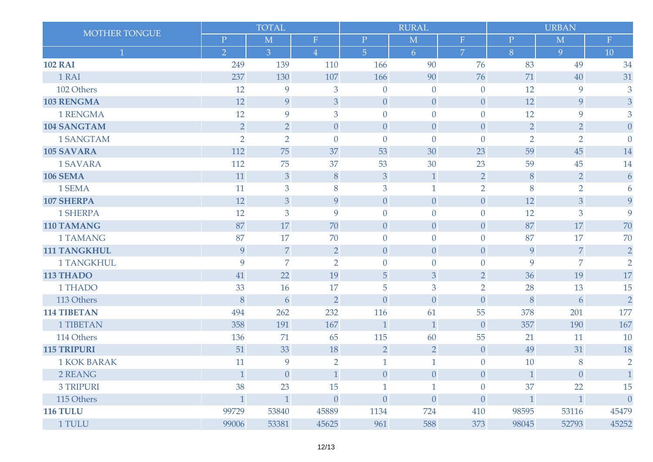| <b>MOTHER TONGUE</b> |                | <b>TOTAL</b>   |                |                  | <b>RURAL</b>   |                  |                | <b>URBAN</b>   |                  |
|----------------------|----------------|----------------|----------------|------------------|----------------|------------------|----------------|----------------|------------------|
|                      | $\mathbf P$    | M              | ${\bf F}$      | $\mathbf P$      | M              | $\mathbf F$      | $\mathbf P$    | M              | $\mathbf F$      |
| 1                    | $\overline{2}$ | $\overline{3}$ | $\overline{4}$ | $\overline{5}$   | 6              | $\overline{7}$   | 8              | 9              | 10               |
| <b>102 RAI</b>       | 249            | 139            | 110            | 166              | 90             | 76               | 83             | 49             | 34               |
| 1 RAI                | 237            | 130            | 107            | 166              | 90             | 76               | 71             | 40             | 31               |
| 102 Others           | 12             | 9              | 3              | $\overline{0}$   | $\overline{0}$ | $\overline{0}$   | 12             | 9              | 3                |
| <b>103 RENGMA</b>    | 12             | 9              | 3              | $\overline{0}$   | $\overline{0}$ | $\overline{0}$   | 12             | 9              | 3                |
| 1 RENGMA             | 12             | 9              | 3              | $\overline{0}$   | $\overline{0}$ | $\overline{0}$   | 12             | 9              | 3                |
| <b>104 SANGTAM</b>   | $\overline{2}$ | $\overline{2}$ | $\overline{0}$ | $\theta$         | $\theta$       | $\overline{0}$   | $\overline{2}$ | $\overline{2}$ | $\overline{0}$   |
| 1 SANGTAM            | $\overline{2}$ | $\overline{2}$ | $\overline{0}$ | $\overline{0}$   | $\overline{0}$ | $\overline{0}$   | $\overline{2}$ | $\overline{2}$ | $\Omega$         |
| <b>105 SAVARA</b>    | 112            | 75             | 37             | 53               | 30             | 23               | 59             | 45             | 14               |
| 1 SAVARA             | 112            | 75             | 37             | 53               | 30             | 23               | 59             | 45             | 14               |
| <b>106 SEMA</b>      | 11             | 3              | 8              | 3                | $\mathbf{1}$   | $\overline{2}$   | 8              | $\overline{2}$ | 6                |
| 1 SEMA               | 11             | 3              | 8              | 3                | 1              | $\overline{2}$   | 8              | $\overline{2}$ | 6                |
| <b>107 SHERPA</b>    | 12             | 3              | 9              | $\overline{0}$   | $\theta$       | $\overline{0}$   | 12             | 3              | 9                |
| 1 SHERPA             | 12             | 3              | 9              | $\overline{0}$   | $\overline{0}$ | $\overline{0}$   | 12             | 3              | 9                |
| 110 TAMANG           | 87             | 17             | 70             | $\theta$         | $\theta$       | $\theta$         | 87             | 17             | 70               |
| 1 TAMANG             | 87             | 17             | 70             | $\mathbf{0}$     | $\overline{0}$ | $\theta$         | 87             | 17             | 70               |
| <b>111 TANGKHUL</b>  | 9              | $\overline{7}$ | $\overline{2}$ | $\overline{0}$   | $\theta$       | $\overline{0}$   | 9              | $\overline{7}$ | $\overline{2}$   |
| 1 TANGKHUL           | 9              | $\overline{7}$ | $\overline{2}$ | $\overline{0}$   | $\overline{0}$ | $\overline{0}$   | 9              | $\overline{7}$ | $\overline{2}$   |
| 113 THADO            | 41             | 22             | 19             | 5                | 3              | $\overline{2}$   | 36             | 19             | 17               |
| 1 THADO              | 33             | 16             | 17             | 5                | 3              | $\overline{2}$   | 28             | 13             | 15               |
| 113 Others           | $\, 8$         | 6              | $\overline{2}$ | $\theta$         | $\theta$       | $\theta$         | 8              | 6              | $\overline{2}$   |
| <b>114 TIBETAN</b>   | 494            | 262            | 232            | 116              | 61             | 55               | 378            | 201            | 177              |
| <b>1 TIBETAN</b>     | 358            | 191            | 167            | $\mathbf{1}$     | $\mathbf{1}$   | $\overline{0}$   | 357            | 190            | 167              |
| 114 Others           | 136            | 71             | 65             | 115              | 60             | 55               | 21             | 11             | 10               |
| <b>115 TRIPURI</b>   | 51             | 33             | 18             | $\overline{2}$   | $\overline{2}$ | $\overline{0}$   | 49             | 31             | 18               |
| <b>1 KOK BARAK</b>   | 11             | 9              | $\overline{2}$ | $\mathbf{1}$     | $\mathbf{1}$   | $\overline{0}$   | 10             | 8              | $\overline{2}$   |
| 2 REANG              | $\mathbf{1}$   | $\theta$       | $\mathbf{1}$   | $\theta$         | $\theta$       | $\boldsymbol{0}$ | $\mathbf{1}$   | $\theta$       | 1                |
| <b>3 TRIPURI</b>     | 38             | 23             | 15             | $\mathbf{1}$     | $\mathbf{1}$   | $\theta$         | 37             | 22             | 15               |
| 115 Others           | $\mathbf{1}$   | $\mathbf{1}$   | $\theta$       | $\boldsymbol{0}$ | $\theta$       | $\theta$         | $\mathbf{1}$   | $\mathbf{1}$   | $\boldsymbol{0}$ |
| <b>116 TULU</b>      | 99729          | 53840          | 45889          | 1134             | 724            | 410              | 98595          | 53116          | 45479            |
| 1 TULU               | 99006          | 53381          | 45625          | 961              | 588            | 373              | 98045          | 52793          | 45252            |